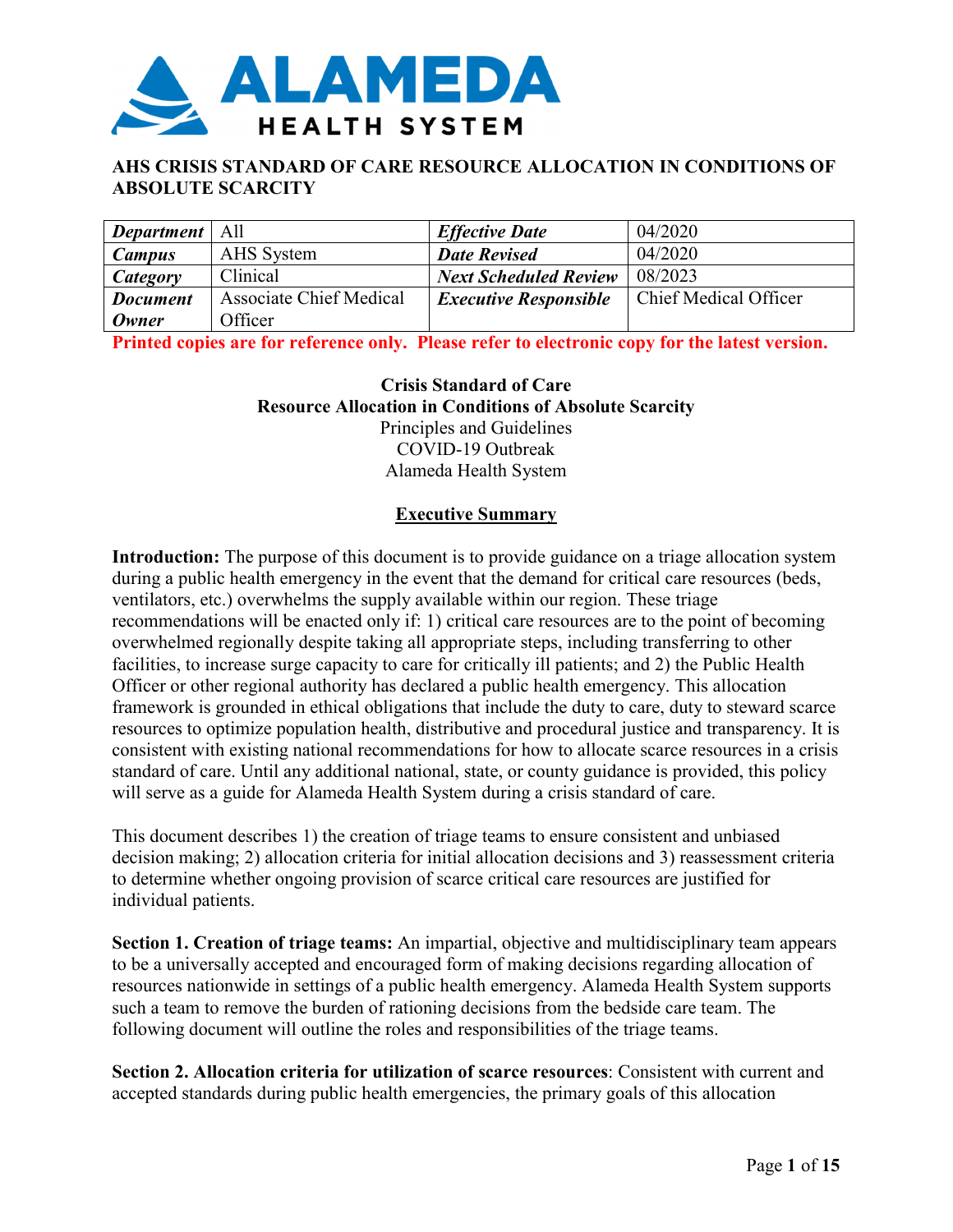

# **AHS CRISIS STANDARD OF CARE RESOURCE ALLOCATION IN CONDITIONS OF ABSOLUTE SCARCITY**

| <b>Department</b> | All                            | <b>Effective Date</b>        | 04/2020               |
|-------------------|--------------------------------|------------------------------|-----------------------|
| <b>Campus</b>     | AHS System                     | <b>Date Revised</b>          | 04/2020               |
| Category          | Clinical                       | <b>Next Scheduled Review</b> | 08/2023               |
| <b>Document</b>   | <b>Associate Chief Medical</b> | <b>Executive Responsible</b> | Chief Medical Officer |
| <b>Owner</b>      | Officer                        |                              |                       |

**Printed copies are for reference only. Please refer to electronic copy for the latest version.** 

**Crisis Standard of Care Resource Allocation in Conditions of Absolute Scarcity** Principles and Guidelines COVID-19 Outbreak Alameda Health System

#### **Executive Summary**

**Introduction:** The purpose of this document is to provide guidance on a triage allocation system during a public health emergency in the event that the demand for critical care resources (beds, ventilators, etc.) overwhelms the supply available within our region. These triage recommendations will be enacted only if: 1) critical care resources are to the point of becoming overwhelmed regionally despite taking all appropriate steps, including transferring to other facilities, to increase surge capacity to care for critically ill patients; and 2) the Public Health Officer or other regional authority has declared a public health emergency. This allocation framework is grounded in ethical obligations that include the duty to care, duty to steward scarce resources to optimize population health, distributive and procedural justice and transparency. It is consistent with existing national recommendations for how to allocate scarce resources in a crisis standard of care. Until any additional national, state, or county guidance is provided, this policy will serve as a guide for Alameda Health System during a crisis standard of care.

This document describes 1) the creation of triage teams to ensure consistent and unbiased decision making; 2) allocation criteria for initial allocation decisions and 3) reassessment criteria to determine whether ongoing provision of scarce critical care resources are justified for individual patients.

**Section 1. Creation of triage teams:** An impartial, objective and multidisciplinary team appears to be a universally accepted and encouraged form of making decisions regarding allocation of resources nationwide in settings of a public health emergency. Alameda Health System supports such a team to remove the burden of rationing decisions from the bedside care team. The following document will outline the roles and responsibilities of the triage teams.

**Section 2. Allocation criteria for utilization of scarce resources**: Consistent with current and accepted standards during public health emergencies, the primary goals of this allocation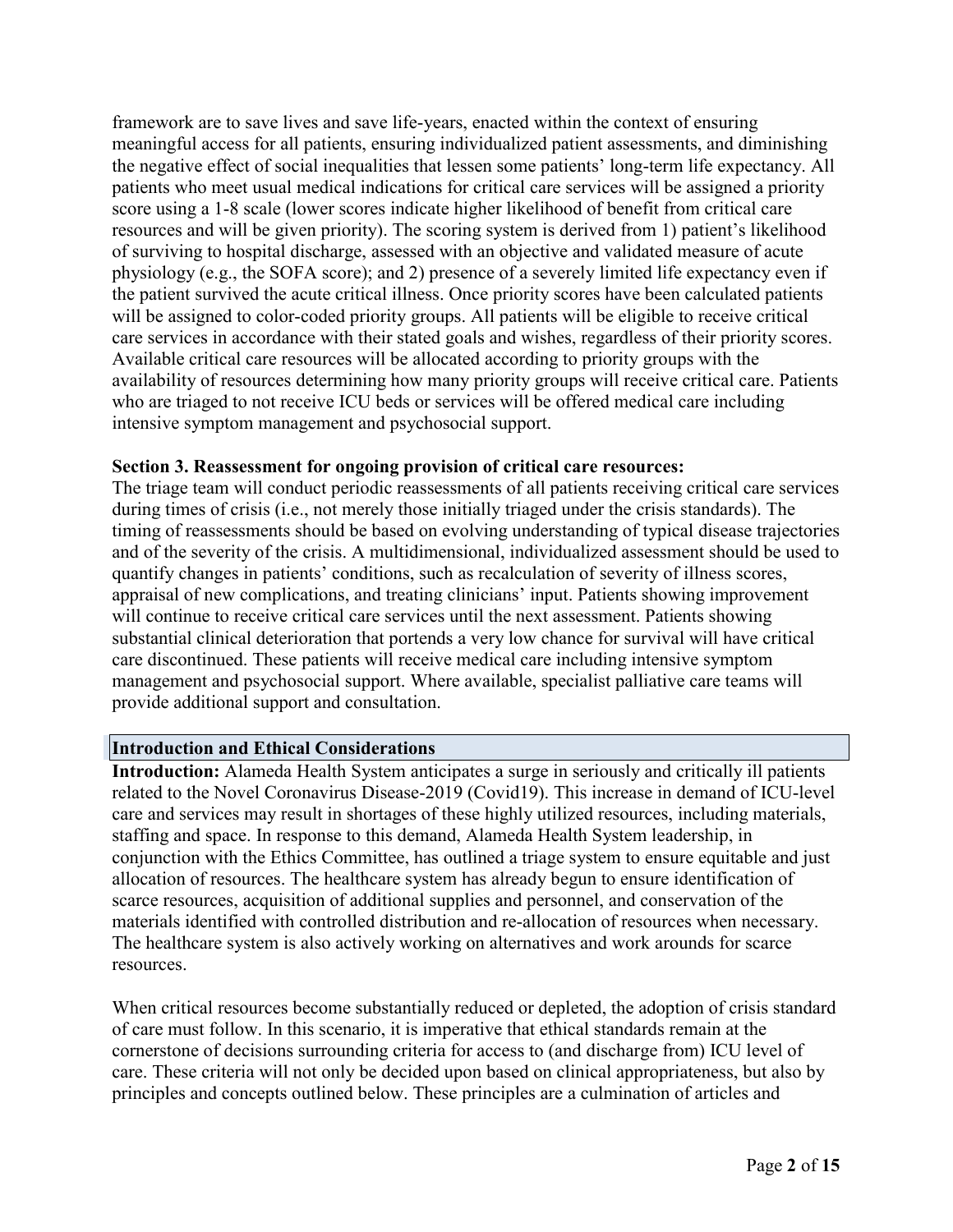framework are to save lives and save life-years, enacted within the context of ensuring meaningful access for all patients, ensuring individualized patient assessments, and diminishing the negative effect of social inequalities that lessen some patients' long-term life expectancy. All patients who meet usual medical indications for critical care services will be assigned a priority score using a 1-8 scale (lower scores indicate higher likelihood of benefit from critical care resources and will be given priority). The scoring system is derived from 1) patient's likelihood of surviving to hospital discharge, assessed with an objective and validated measure of acute physiology (e.g., the SOFA score); and 2) presence of a severely limited life expectancy even if the patient survived the acute critical illness. Once priority scores have been calculated patients will be assigned to color-coded priority groups. All patients will be eligible to receive critical care services in accordance with their stated goals and wishes, regardless of their priority scores. Available critical care resources will be allocated according to priority groups with the availability of resources determining how many priority groups will receive critical care. Patients who are triaged to not receive ICU beds or services will be offered medical care including intensive symptom management and psychosocial support.

#### **Section 3. Reassessment for ongoing provision of critical care resources:**

The triage team will conduct periodic reassessments of all patients receiving critical care services during times of crisis (i.e., not merely those initially triaged under the crisis standards). The timing of reassessments should be based on evolving understanding of typical disease trajectories and of the severity of the crisis. A multidimensional, individualized assessment should be used to quantify changes in patients' conditions, such as recalculation of severity of illness scores, appraisal of new complications, and treating clinicians' input. Patients showing improvement will continue to receive critical care services until the next assessment. Patients showing substantial clinical deterioration that portends a very low chance for survival will have critical care discontinued. These patients will receive medical care including intensive symptom management and psychosocial support. Where available, specialist palliative care teams will provide additional support and consultation.

#### **Introduction and Ethical Considerations**

**Introduction:** Alameda Health System anticipates a surge in seriously and critically ill patients related to the Novel Coronavirus Disease-2019 (Covid19). This increase in demand of ICU-level care and services may result in shortages of these highly utilized resources, including materials, staffing and space. In response to this demand, Alameda Health System leadership, in conjunction with the Ethics Committee, has outlined a triage system to ensure equitable and just allocation of resources. The healthcare system has already begun to ensure identification of scarce resources, acquisition of additional supplies and personnel, and conservation of the materials identified with controlled distribution and re-allocation of resources when necessary. The healthcare system is also actively working on alternatives and work arounds for scarce resources.

When critical resources become substantially reduced or depleted, the adoption of crisis standard of care must follow. In this scenario, it is imperative that ethical standards remain at the cornerstone of decisions surrounding criteria for access to (and discharge from) ICU level of care. These criteria will not only be decided upon based on clinical appropriateness, but also by principles and concepts outlined below. These principles are a culmination of articles and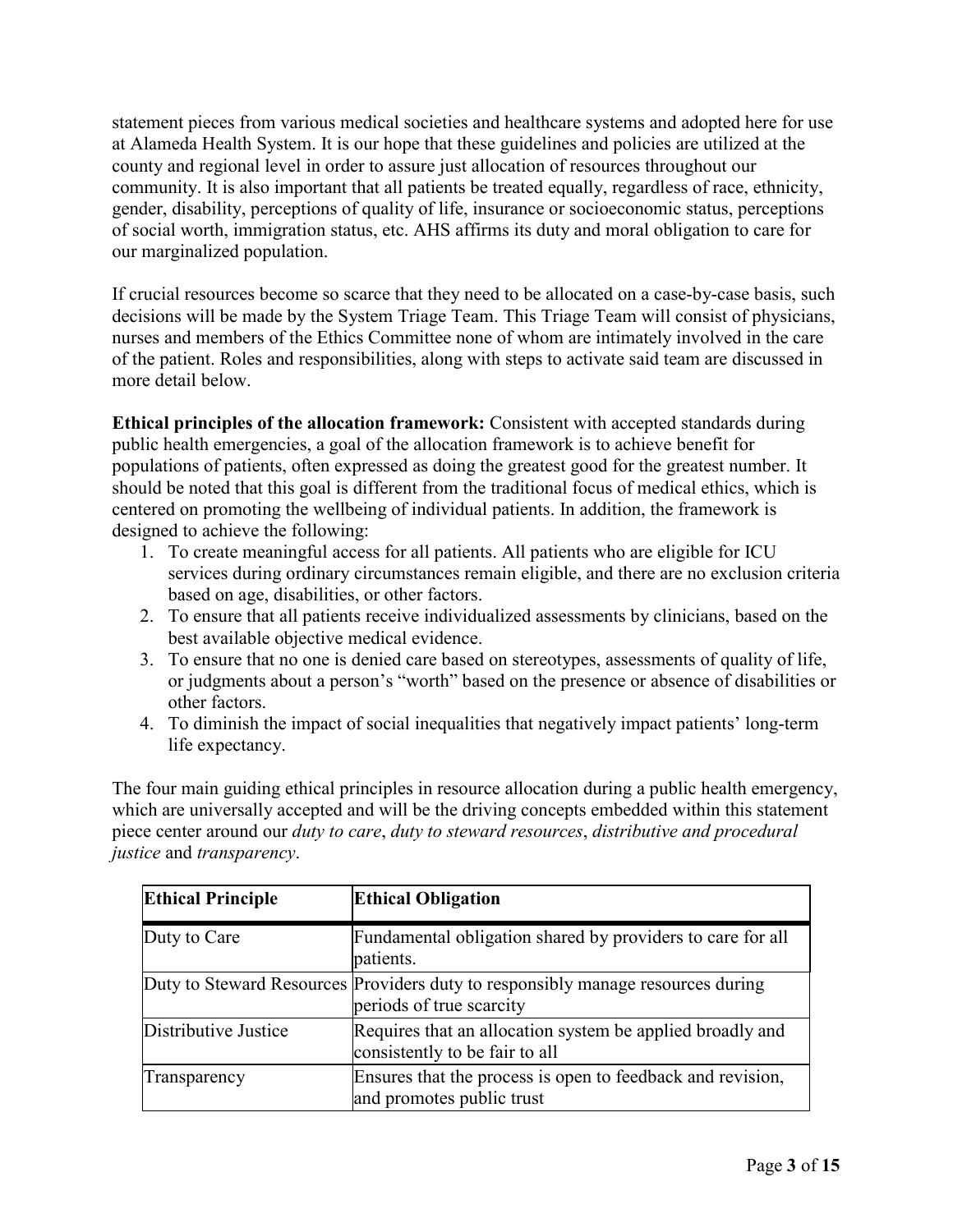statement pieces from various medical societies and healthcare systems and adopted here for use at Alameda Health System. It is our hope that these guidelines and policies are utilized at the county and regional level in order to assure just allocation of resources throughout our community. It is also important that all patients be treated equally, regardless of race, ethnicity, gender, disability, perceptions of quality of life, insurance or socioeconomic status, perceptions of social worth, immigration status, etc. AHS affirms its duty and moral obligation to care for our marginalized population.

If crucial resources become so scarce that they need to be allocated on a case-by-case basis, such decisions will be made by the System Triage Team. This Triage Team will consist of physicians, nurses and members of the Ethics Committee none of whom are intimately involved in the care of the patient. Roles and responsibilities, along with steps to activate said team are discussed in more detail below.

**Ethical principles of the allocation framework:** Consistent with accepted standards during public health emergencies, a goal of the allocation framework is to achieve benefit for populations of patients, often expressed as doing the greatest good for the greatest number. It should be noted that this goal is different from the traditional focus of medical ethics, which is centered on promoting the wellbeing of individual patients. In addition, the framework is designed to achieve the following:

- 1. To create meaningful access for all patients. All patients who are eligible for ICU services during ordinary circumstances remain eligible, and there are no exclusion criteria based on age, disabilities, or other factors.
- 2. To ensure that all patients receive individualized assessments by clinicians, based on the best available objective medical evidence.
- 3. To ensure that no one is denied care based on stereotypes, assessments of quality of life, or judgments about a person's "worth" based on the presence or absence of disabilities or other factors.
- 4. To diminish the impact of social inequalities that negatively impact patients' long-term life expectancy.

The four main guiding ethical principles in resource allocation during a public health emergency, which are universally accepted and will be the driving concepts embedded within this statement piece center around our *duty to care*, *duty to steward resources*, *distributive and procedural justice* and *transparency*.

| <b>Ethical Principle</b> | <b>Ethical Obligation</b>                                                                                   |
|--------------------------|-------------------------------------------------------------------------------------------------------------|
| Duty to Care             | Fundamental obligation shared by providers to care for all<br>patients.                                     |
|                          | Duty to Steward Resources Providers duty to responsibly manage resources during<br>periods of true scarcity |
| Distributive Justice     | Requires that an allocation system be applied broadly and<br>consistently to be fair to all                 |
| Transparency             | Ensures that the process is open to feedback and revision,<br>and promotes public trust                     |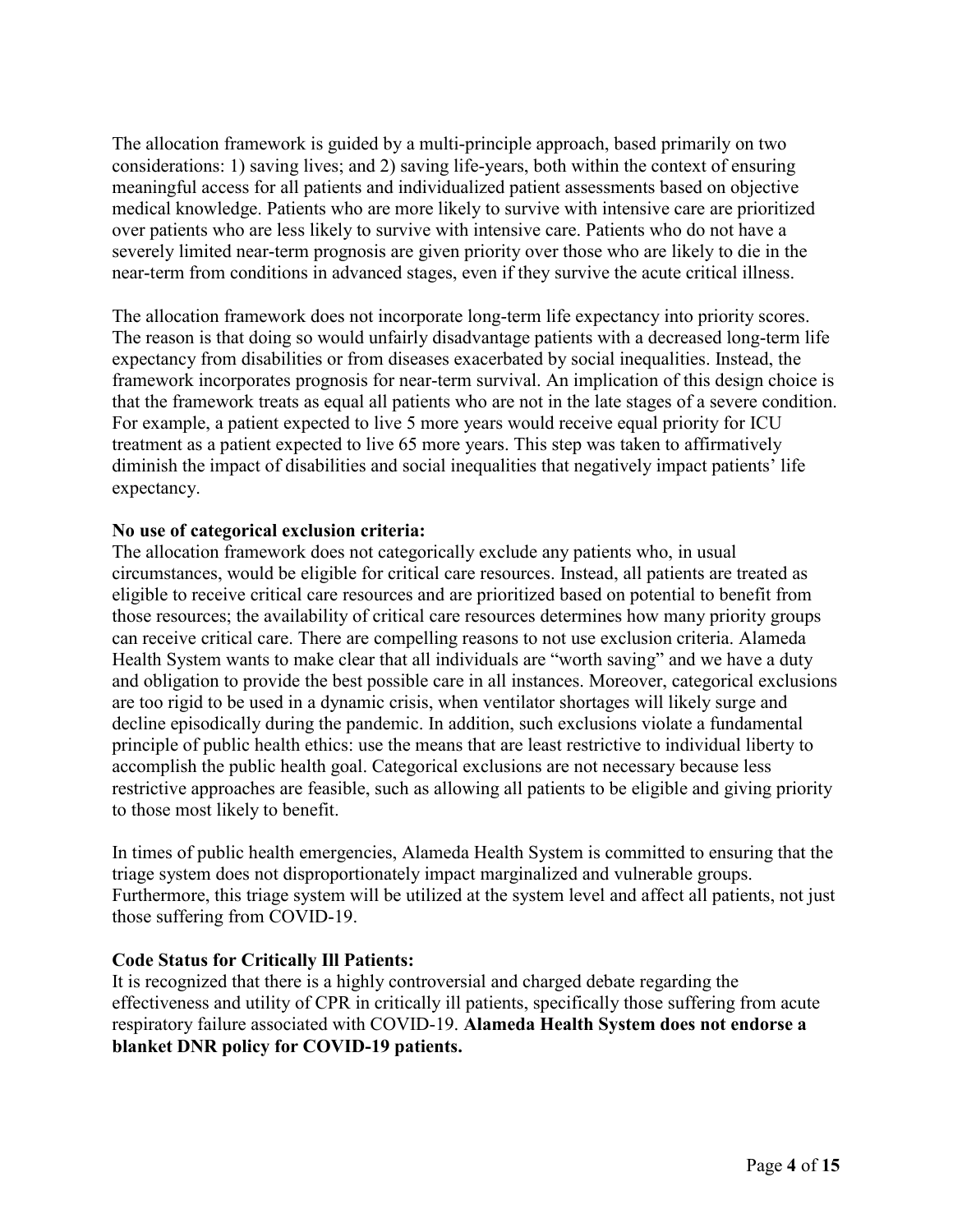The allocation framework is guided by a multi-principle approach, based primarily on two considerations: 1) saving lives; and 2) saving life-years, both within the context of ensuring meaningful access for all patients and individualized patient assessments based on objective medical knowledge. Patients who are more likely to survive with intensive care are prioritized over patients who are less likely to survive with intensive care. Patients who do not have a severely limited near-term prognosis are given priority over those who are likely to die in the near-term from conditions in advanced stages, even if they survive the acute critical illness.

The allocation framework does not incorporate long-term life expectancy into priority scores. The reason is that doing so would unfairly disadvantage patients with a decreased long-term life expectancy from disabilities or from diseases exacerbated by social inequalities. Instead, the framework incorporates prognosis for near-term survival. An implication of this design choice is that the framework treats as equal all patients who are not in the late stages of a severe condition. For example, a patient expected to live 5 more years would receive equal priority for ICU treatment as a patient expected to live 65 more years. This step was taken to affirmatively diminish the impact of disabilities and social inequalities that negatively impact patients' life expectancy.

#### **No use of categorical exclusion criteria:**

The allocation framework does not categorically exclude any patients who, in usual circumstances, would be eligible for critical care resources. Instead, all patients are treated as eligible to receive critical care resources and are prioritized based on potential to benefit from those resources; the availability of critical care resources determines how many priority groups can receive critical care. There are compelling reasons to not use exclusion criteria. Alameda Health System wants to make clear that all individuals are "worth saving" and we have a duty and obligation to provide the best possible care in all instances. Moreover, categorical exclusions are too rigid to be used in a dynamic crisis, when ventilator shortages will likely surge and decline episodically during the pandemic. In addition, such exclusions violate a fundamental principle of public health ethics: use the means that are least restrictive to individual liberty to accomplish the public health goal. Categorical exclusions are not necessary because less restrictive approaches are feasible, such as allowing all patients to be eligible and giving priority to those most likely to benefit.

In times of public health emergencies, Alameda Health System is committed to ensuring that the triage system does not disproportionately impact marginalized and vulnerable groups. Furthermore, this triage system will be utilized at the system level and affect all patients, not just those suffering from COVID-19.

## **Code Status for Critically Ill Patients:**

It is recognized that there is a highly controversial and charged debate regarding the effectiveness and utility of CPR in critically ill patients, specifically those suffering from acute respiratory failure associated with COVID-19. **Alameda Health System does not endorse a blanket DNR policy for COVID-19 patients.**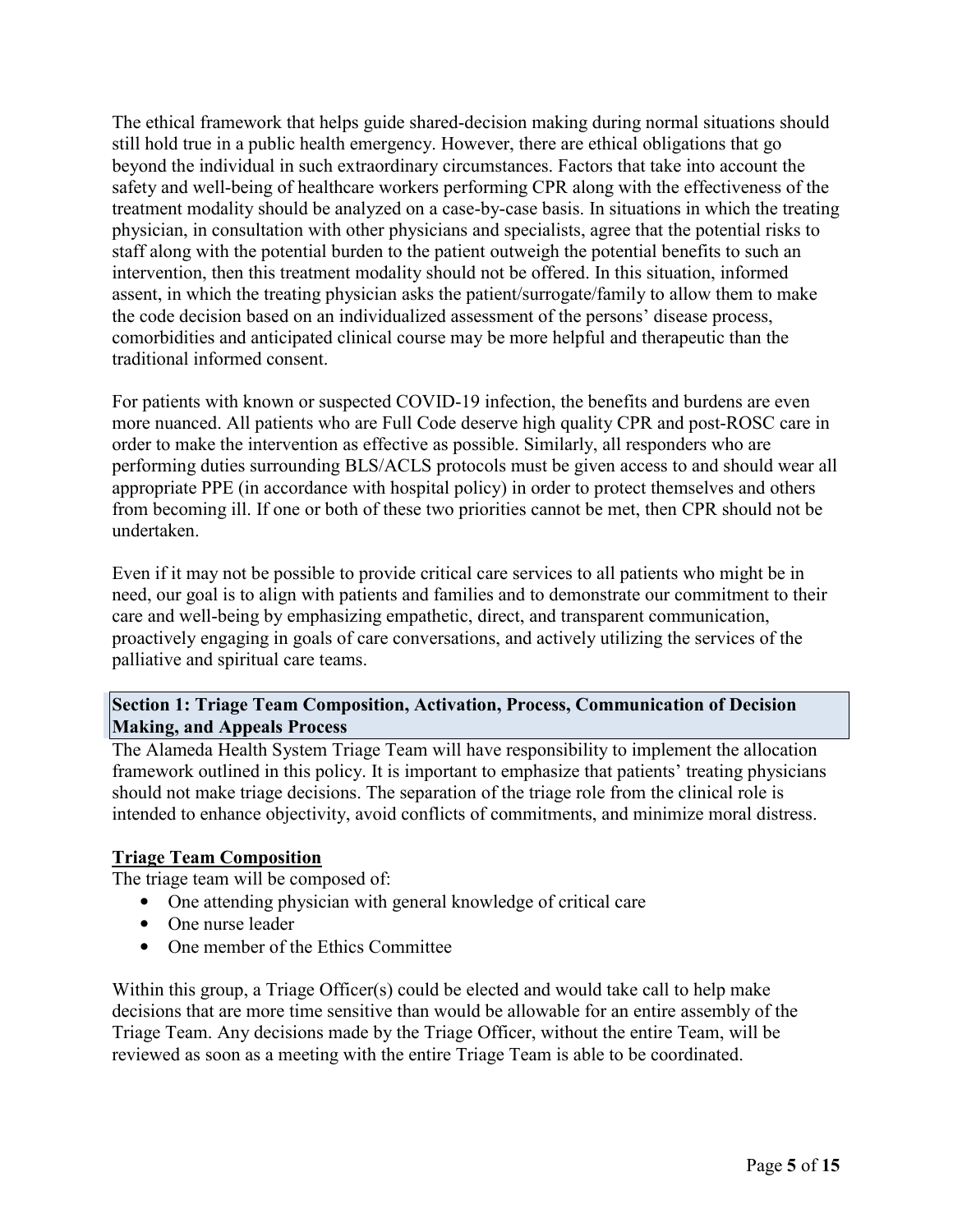The ethical framework that helps guide shared-decision making during normal situations should still hold true in a public health emergency. However, there are ethical obligations that go beyond the individual in such extraordinary circumstances. Factors that take into account the safety and well-being of healthcare workers performing CPR along with the effectiveness of the treatment modality should be analyzed on a case-by-case basis. In situations in which the treating physician, in consultation with other physicians and specialists, agree that the potential risks to staff along with the potential burden to the patient outweigh the potential benefits to such an intervention, then this treatment modality should not be offered. In this situation, informed assent, in which the treating physician asks the patient/surrogate/family to allow them to make the code decision based on an individualized assessment of the persons' disease process, comorbidities and anticipated clinical course may be more helpful and therapeutic than the traditional informed consent.

For patients with known or suspected COVID-19 infection, the benefits and burdens are even more nuanced. All patients who are Full Code deserve high quality CPR and post-ROSC care in order to make the intervention as effective as possible. Similarly, all responders who are performing duties surrounding BLS/ACLS protocols must be given access to and should wear all appropriate PPE (in accordance with hospital policy) in order to protect themselves and others from becoming ill. If one or both of these two priorities cannot be met, then CPR should not be undertaken.

Even if it may not be possible to provide critical care services to all patients who might be in need, our goal is to align with patients and families and to demonstrate our commitment to their care and well-being by emphasizing empathetic, direct, and transparent communication, proactively engaging in goals of care conversations, and actively utilizing the services of the palliative and spiritual care teams.

## **Section 1: Triage Team Composition, Activation, Process, Communication of Decision Making, and Appeals Process**

The Alameda Health System Triage Team will have responsibility to implement the allocation framework outlined in this policy. It is important to emphasize that patients' treating physicians should not make triage decisions. The separation of the triage role from the clinical role is intended to enhance objectivity, avoid conflicts of commitments, and minimize moral distress.

# **Triage Team Composition**

The triage team will be composed of:

- One attending physician with general knowledge of critical care
- One nurse leader
- One member of the Ethics Committee

Within this group, a Triage Officer(s) could be elected and would take call to help make decisions that are more time sensitive than would be allowable for an entire assembly of the Triage Team. Any decisions made by the Triage Officer, without the entire Team, will be reviewed as soon as a meeting with the entire Triage Team is able to be coordinated.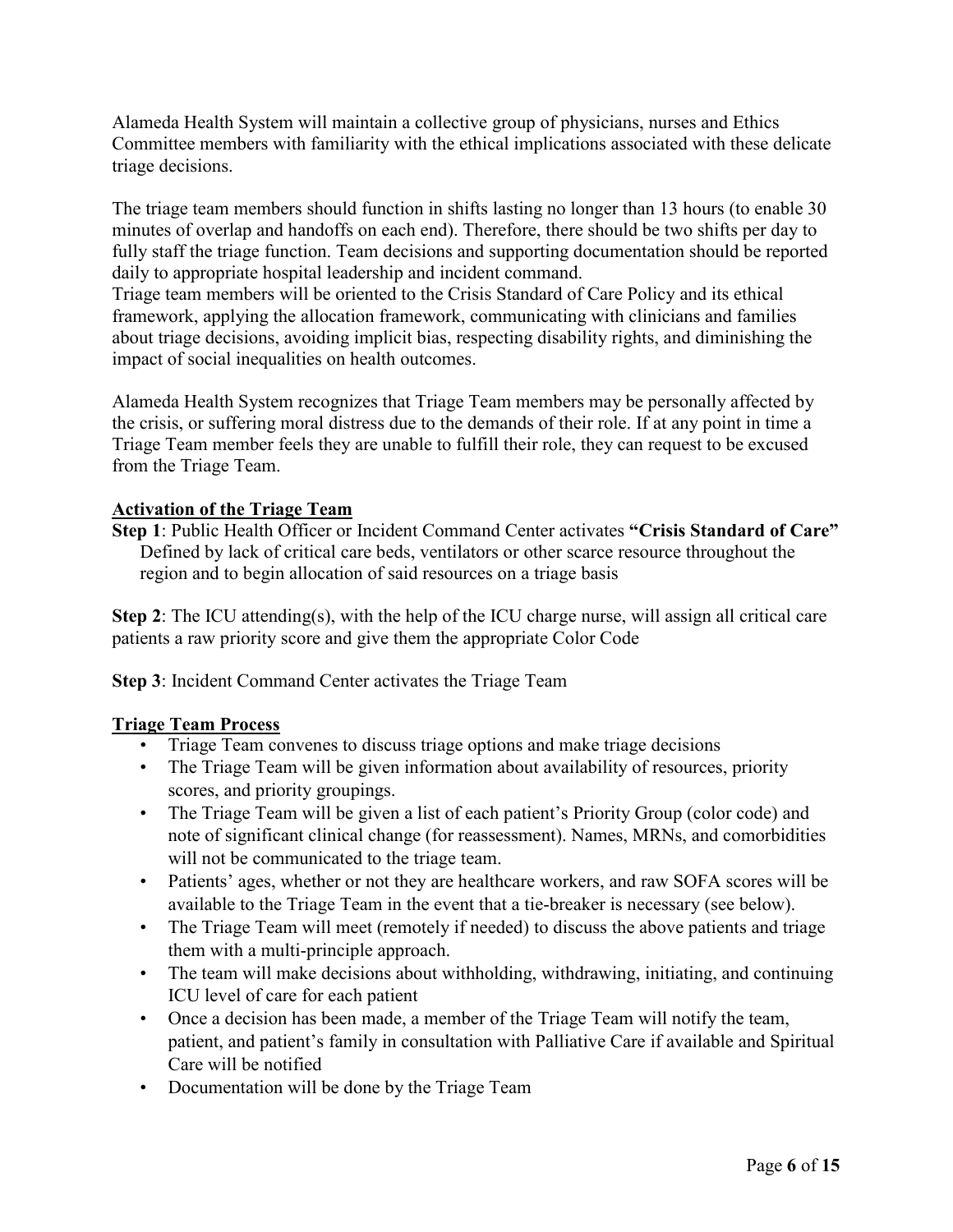Alameda Health System will maintain a collective group of physicians, nurses and Ethics Committee members with familiarity with the ethical implications associated with these delicate triage decisions.

The triage team members should function in shifts lasting no longer than 13 hours (to enable 30 minutes of overlap and handoffs on each end). Therefore, there should be two shifts per day to fully staff the triage function. Team decisions and supporting documentation should be reported daily to appropriate hospital leadership and incident command.

Triage team members will be oriented to the Crisis Standard of Care Policy and its ethical framework, applying the allocation framework, communicating with clinicians and families about triage decisions, avoiding implicit bias, respecting disability rights, and diminishing the impact of social inequalities on health outcomes.

Alameda Health System recognizes that Triage Team members may be personally affected by the crisis, or suffering moral distress due to the demands of their role. If at any point in time a Triage Team member feels they are unable to fulfill their role, they can request to be excused from the Triage Team.

## **Activation of the Triage Team**

**Step 1**: Public Health Officer or Incident Command Center activates **"Crisis Standard of Care"**  Defined by lack of critical care beds, ventilators or other scarce resource throughout the region and to begin allocation of said resources on a triage basis

**Step 2**: The ICU attending(s), with the help of the ICU charge nurse, will assign all critical care patients a raw priority score and give them the appropriate Color Code

**Step 3**: Incident Command Center activates the Triage Team

## **Triage Team Process**

- Triage Team convenes to discuss triage options and make triage decisions
- The Triage Team will be given information about availability of resources, priority scores, and priority groupings.
- The Triage Team will be given a list of each patient's Priority Group (color code) and note of significant clinical change (for reassessment). Names, MRNs, and comorbidities will not be communicated to the triage team.
- Patients' ages, whether or not they are healthcare workers, and raw SOFA scores will be available to the Triage Team in the event that a tie-breaker is necessary (see below).
- The Triage Team will meet (remotely if needed) to discuss the above patients and triage them with a multi-principle approach.
- The team will make decisions about withholding, withdrawing, initiating, and continuing ICU level of care for each patient
- Once a decision has been made, a member of the Triage Team will notify the team, patient, and patient's family in consultation with Palliative Care if available and Spiritual Care will be notified
- Documentation will be done by the Triage Team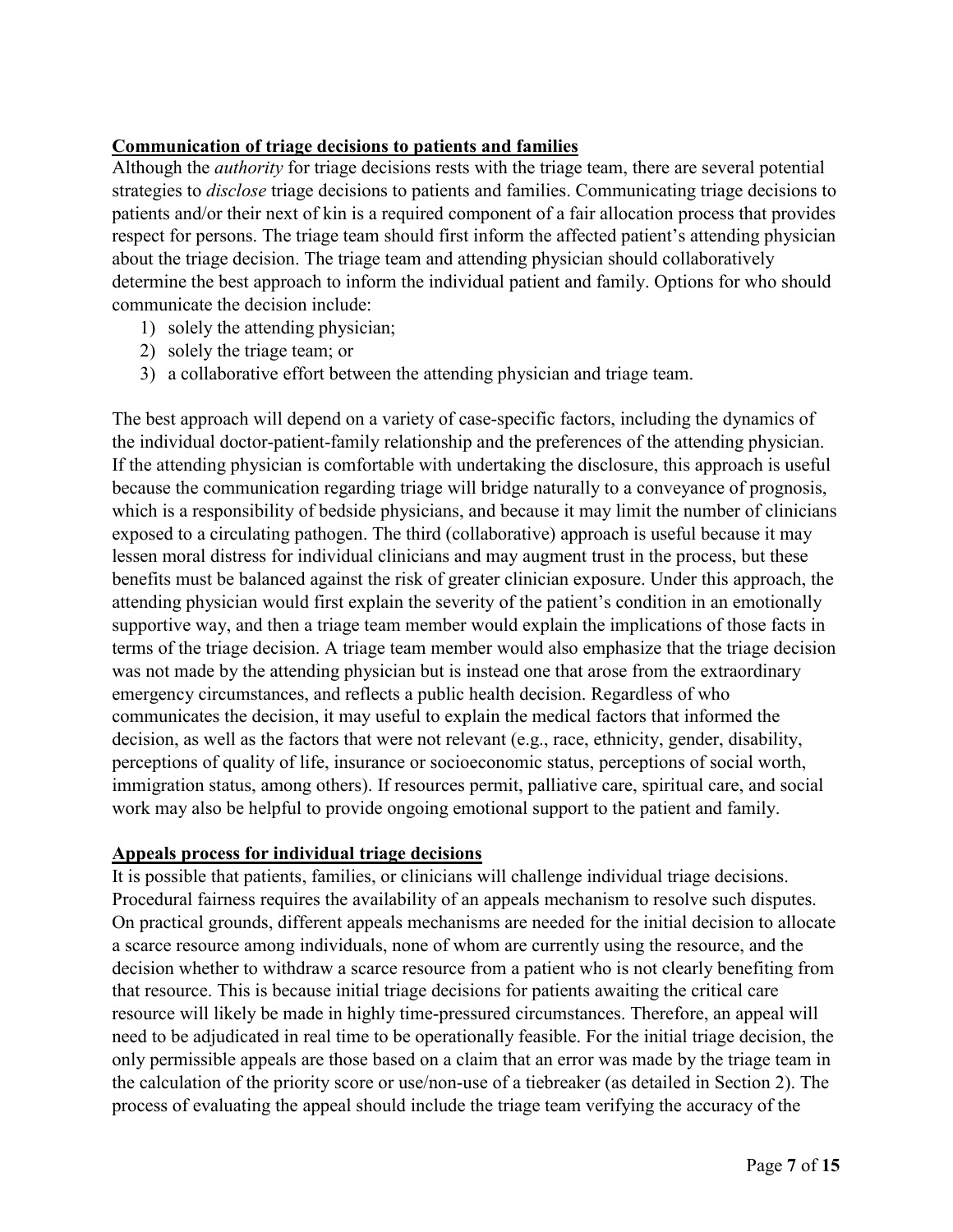# **Communication of triage decisions to patients and families**

Although the *authority* for triage decisions rests with the triage team, there are several potential strategies to *disclose* triage decisions to patients and families. Communicating triage decisions to patients and/or their next of kin is a required component of a fair allocation process that provides respect for persons. The triage team should first inform the affected patient's attending physician about the triage decision. The triage team and attending physician should collaboratively determine the best approach to inform the individual patient and family. Options for who should communicate the decision include:

- 1) solely the attending physician;
- 2) solely the triage team; or
- 3) a collaborative effort between the attending physician and triage team.

The best approach will depend on a variety of case-specific factors, including the dynamics of the individual doctor-patient-family relationship and the preferences of the attending physician. If the attending physician is comfortable with undertaking the disclosure, this approach is useful because the communication regarding triage will bridge naturally to a conveyance of prognosis, which is a responsibility of bedside physicians, and because it may limit the number of clinicians exposed to a circulating pathogen. The third (collaborative) approach is useful because it may lessen moral distress for individual clinicians and may augment trust in the process, but these benefits must be balanced against the risk of greater clinician exposure. Under this approach, the attending physician would first explain the severity of the patient's condition in an emotionally supportive way, and then a triage team member would explain the implications of those facts in terms of the triage decision. A triage team member would also emphasize that the triage decision was not made by the attending physician but is instead one that arose from the extraordinary emergency circumstances, and reflects a public health decision. Regardless of who communicates the decision, it may useful to explain the medical factors that informed the decision, as well as the factors that were not relevant (e.g., race, ethnicity, gender, disability, perceptions of quality of life, insurance or socioeconomic status, perceptions of social worth, immigration status, among others). If resources permit, palliative care, spiritual care, and social work may also be helpful to provide ongoing emotional support to the patient and family.

## **Appeals process for individual triage decisions**

It is possible that patients, families, or clinicians will challenge individual triage decisions. Procedural fairness requires the availability of an appeals mechanism to resolve such disputes. On practical grounds, different appeals mechanisms are needed for the initial decision to allocate a scarce resource among individuals, none of whom are currently using the resource, and the decision whether to withdraw a scarce resource from a patient who is not clearly benefiting from that resource. This is because initial triage decisions for patients awaiting the critical care resource will likely be made in highly time-pressured circumstances. Therefore, an appeal will need to be adjudicated in real time to be operationally feasible. For the initial triage decision, the only permissible appeals are those based on a claim that an error was made by the triage team in the calculation of the priority score or use/non-use of a tiebreaker (as detailed in Section 2). The process of evaluating the appeal should include the triage team verifying the accuracy of the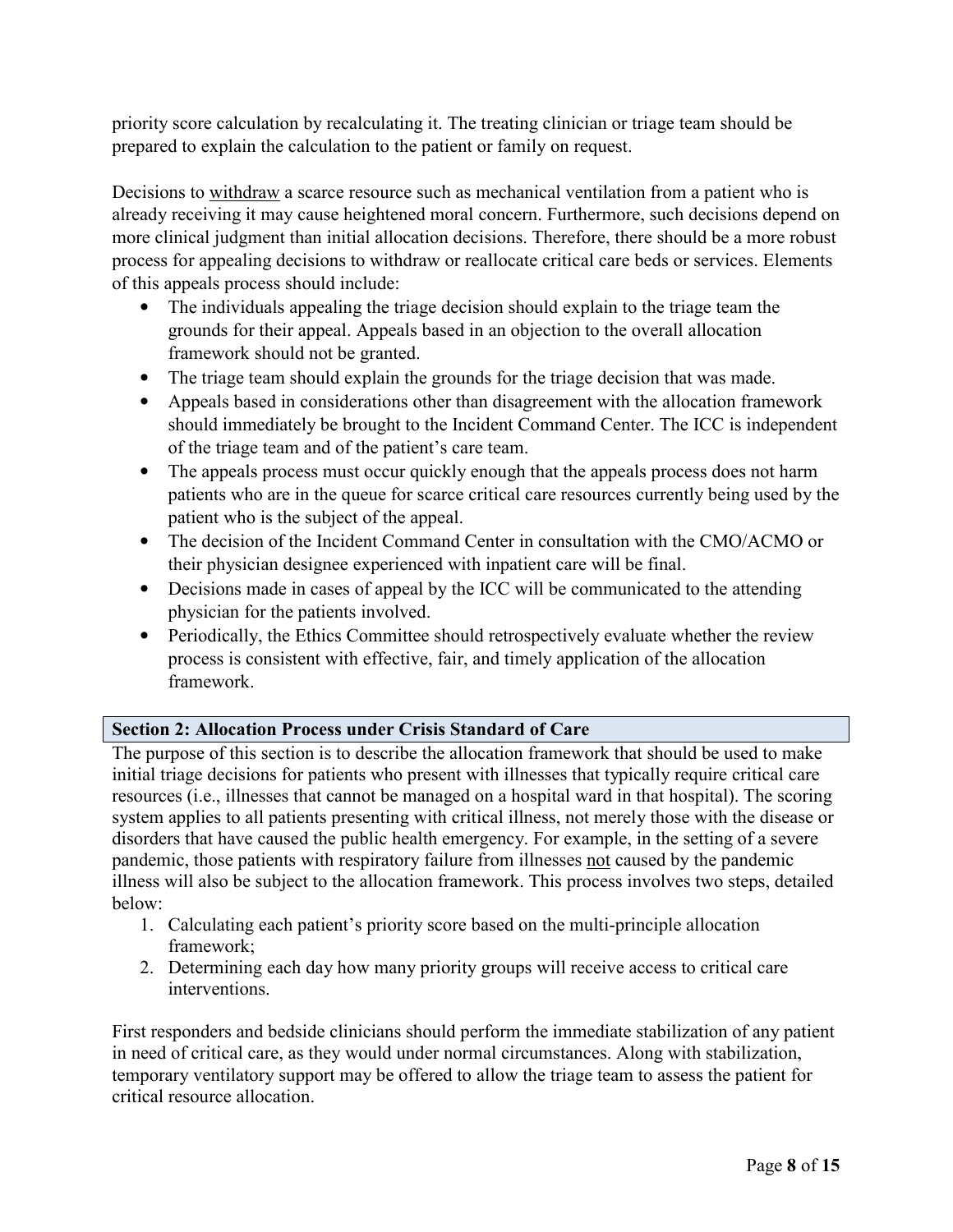priority score calculation by recalculating it. The treating clinician or triage team should be prepared to explain the calculation to the patient or family on request.

Decisions to withdraw a scarce resource such as mechanical ventilation from a patient who is already receiving it may cause heightened moral concern. Furthermore, such decisions depend on more clinical judgment than initial allocation decisions. Therefore, there should be a more robust process for appealing decisions to withdraw or reallocate critical care beds or services. Elements of this appeals process should include:

- The individuals appealing the triage decision should explain to the triage team the grounds for their appeal. Appeals based in an objection to the overall allocation framework should not be granted.
- The triage team should explain the grounds for the triage decision that was made.
- Appeals based in considerations other than disagreement with the allocation framework should immediately be brought to the Incident Command Center. The ICC is independent of the triage team and of the patient's care team.
- The appeals process must occur quickly enough that the appeals process does not harm patients who are in the queue for scarce critical care resources currently being used by the patient who is the subject of the appeal.
- The decision of the Incident Command Center in consultation with the CMO/ACMO or their physician designee experienced with inpatient care will be final.
- Decisions made in cases of appeal by the ICC will be communicated to the attending physician for the patients involved.
- Periodically, the Ethics Committee should retrospectively evaluate whether the review process is consistent with effective, fair, and timely application of the allocation framework.

## **Section 2: Allocation Process under Crisis Standard of Care**

The purpose of this section is to describe the allocation framework that should be used to make initial triage decisions for patients who present with illnesses that typically require critical care resources (i.e., illnesses that cannot be managed on a hospital ward in that hospital). The scoring system applies to all patients presenting with critical illness, not merely those with the disease or disorders that have caused the public health emergency. For example, in the setting of a severe pandemic, those patients with respiratory failure from illnesses not caused by the pandemic illness will also be subject to the allocation framework. This process involves two steps, detailed below:

- 1. Calculating each patient's priority score based on the multi-principle allocation framework;
- 2. Determining each day how many priority groups will receive access to critical care interventions.

First responders and bedside clinicians should perform the immediate stabilization of any patient in need of critical care, as they would under normal circumstances. Along with stabilization, temporary ventilatory support may be offered to allow the triage team to assess the patient for critical resource allocation.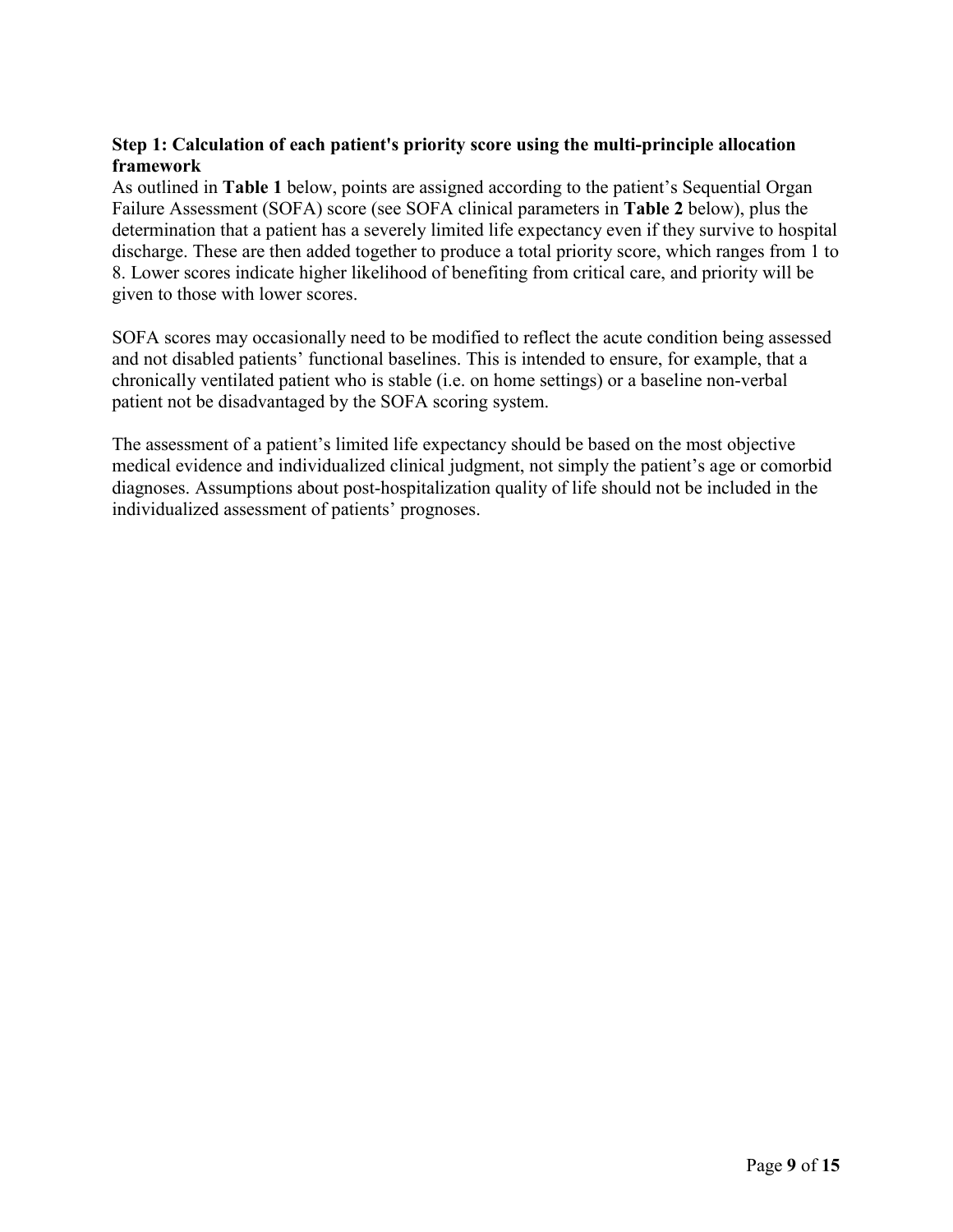## **Step 1: Calculation of each patient's priority score using the multi-principle allocation framework**

As outlined in **Table 1** below, points are assigned according to the patient's Sequential Organ Failure Assessment (SOFA) score (see SOFA clinical parameters in **Table 2** below), plus the determination that a patient has a severely limited life expectancy even if they survive to hospital discharge. These are then added together to produce a total priority score, which ranges from 1 to 8. Lower scores indicate higher likelihood of benefiting from critical care, and priority will be given to those with lower scores.

SOFA scores may occasionally need to be modified to reflect the acute condition being assessed and not disabled patients' functional baselines. This is intended to ensure, for example, that a chronically ventilated patient who is stable (i.e. on home settings) or a baseline non-verbal patient not be disadvantaged by the SOFA scoring system.

The assessment of a patient's limited life expectancy should be based on the most objective medical evidence and individualized clinical judgment, not simply the patient's age or comorbid diagnoses. Assumptions about post-hospitalization quality of life should not be included in the individualized assessment of patients' prognoses.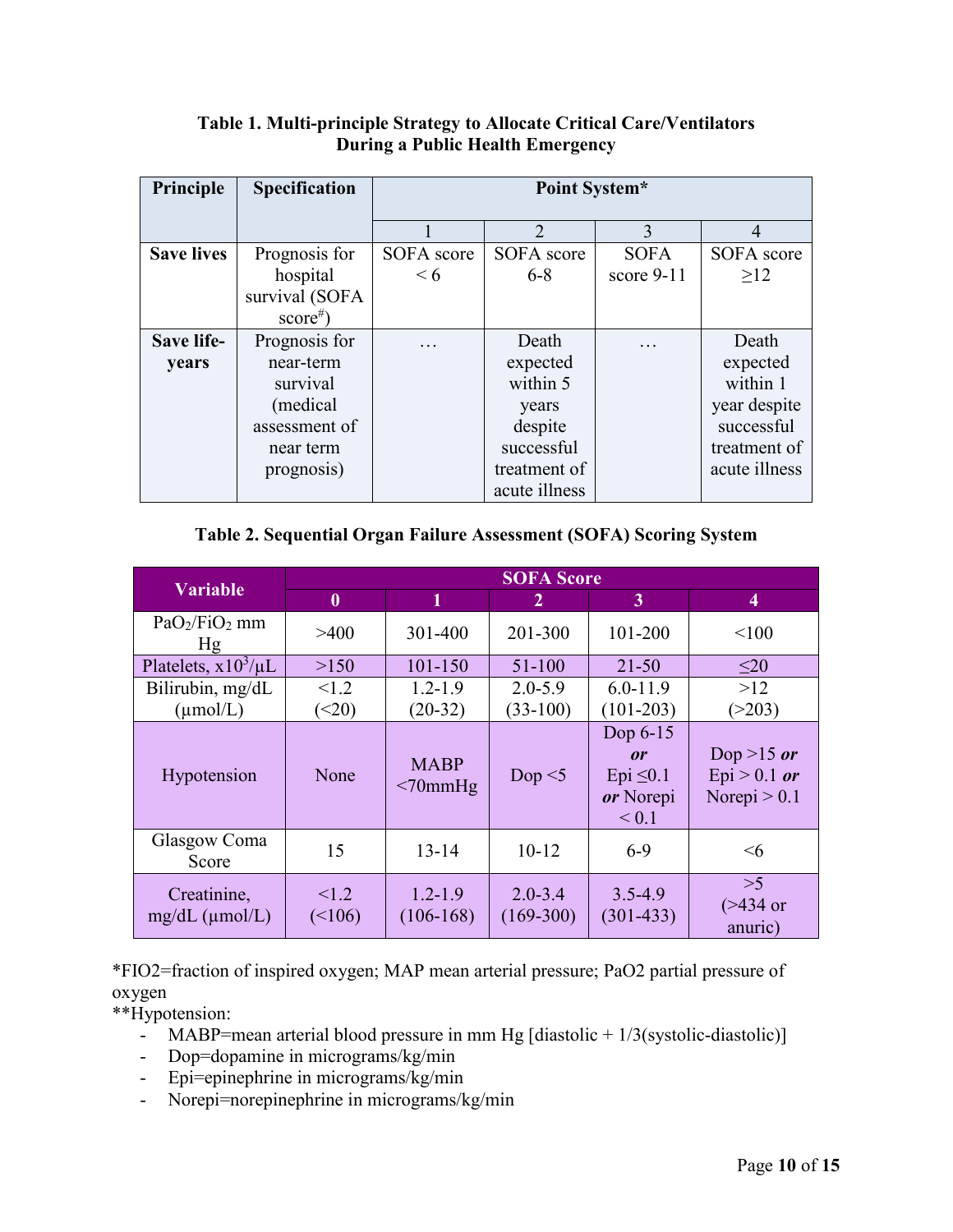| Principle         | <b>Specification</b> | Point System* |                |              |                |
|-------------------|----------------------|---------------|----------------|--------------|----------------|
|                   |                      |               | $\overline{2}$ | 3            | $\overline{4}$ |
| <b>Save lives</b> | Prognosis for        | SOFA score    | SOFA score     | <b>SOFA</b>  | SOFA score     |
|                   | hospital             | < 6           | $6 - 8$        | score $9-11$ | >12            |
|                   | survival (SOFA       |               |                |              |                |
|                   | $score^*)$           |               |                |              |                |
| <b>Save life-</b> | Prognosis for        | .             | Death          |              | Death          |
| years             | near-term            |               | expected       |              | expected       |
|                   | survival             |               | within 5       |              | within 1       |
|                   | (medical)            |               | years          |              | year despite   |
|                   | assessment of        |               | despite        |              | successful     |
|                   | near term            |               | successful     |              | treatment of   |
|                   | prognosis)           |               | treatment of   |              | acute illness  |
|                   |                      |               | acute illness  |              |                |

# **Table 1. Multi-principle Strategy to Allocate Critical Care/Ventilators During a Public Health Emergency**

# **Table 2. Sequential Organ Failure Assessment (SOFA) Scoring System**

| <b>Variable</b>                             | <b>SOFA Score</b>      |                              |                            |                                                             |                                                |  |
|---------------------------------------------|------------------------|------------------------------|----------------------------|-------------------------------------------------------------|------------------------------------------------|--|
|                                             | $\bf{0}$               | 1                            | 2                          | 3                                                           | 4                                              |  |
| PaO <sub>2</sub> /FiO <sub>2</sub> mm<br>Hg | >400                   | 301-400                      | 201-300                    | 101-200                                                     | < 100                                          |  |
| Platelets, $x10^3/\mu L$                    | >150                   | 101-150                      | 51-100                     | $21 - 50$                                                   | $\leq 20$                                      |  |
| Bilirubin, mg/dL<br>$(\mu \text{mol}/L)$    | < 1.2<br>( <b>20</b> ) | $1.2 - 1.9$<br>$(20-32)$     | $2.0 - 5.9$<br>$(33-100)$  | $6.0 - 11.9$<br>$(101-203)$                                 | >12<br>(>203)                                  |  |
| Hypotension                                 | None                   | <b>MABP</b><br>$<70$ mm $Hg$ | Dop $\leq$ 5               | Dop 6-15<br>or<br>Epi $\leq 0.1$<br>or Norepi<br>${}_{0.1}$ | Dop >15 or<br>$Epi > 0.1$ or<br>Norepi $> 0.1$ |  |
| Glasgow Coma<br>Score                       | 15                     | $13 - 14$                    | $10-12$                    | $6-9$                                                       | $\leq 6$                                       |  |
| Creatinine,<br>$mg/dL$ ( $\mu$ mol/L)       | < 1.2<br>(<106)        | $1.2 - 1.9$<br>$(106-168)$   | $2.0 - 3.4$<br>$(169-300)$ | $3.5 - 4.9$<br>$(301-433)$                                  | >5<br>$($ >434 or<br>anuric)                   |  |

\*FIO2=fraction of inspired oxygen; MAP mean arterial pressure; PaO2 partial pressure of oxygen

\*\*Hypotension:

- MABP=mean arterial blood pressure in mm Hg [diastolic +  $1/3$ (systolic-diastolic)]
- Dop=dopamine in micrograms/kg/min
- Epi=epinephrine in micrograms/kg/min
- Norepi=norepinephrine in micrograms/kg/min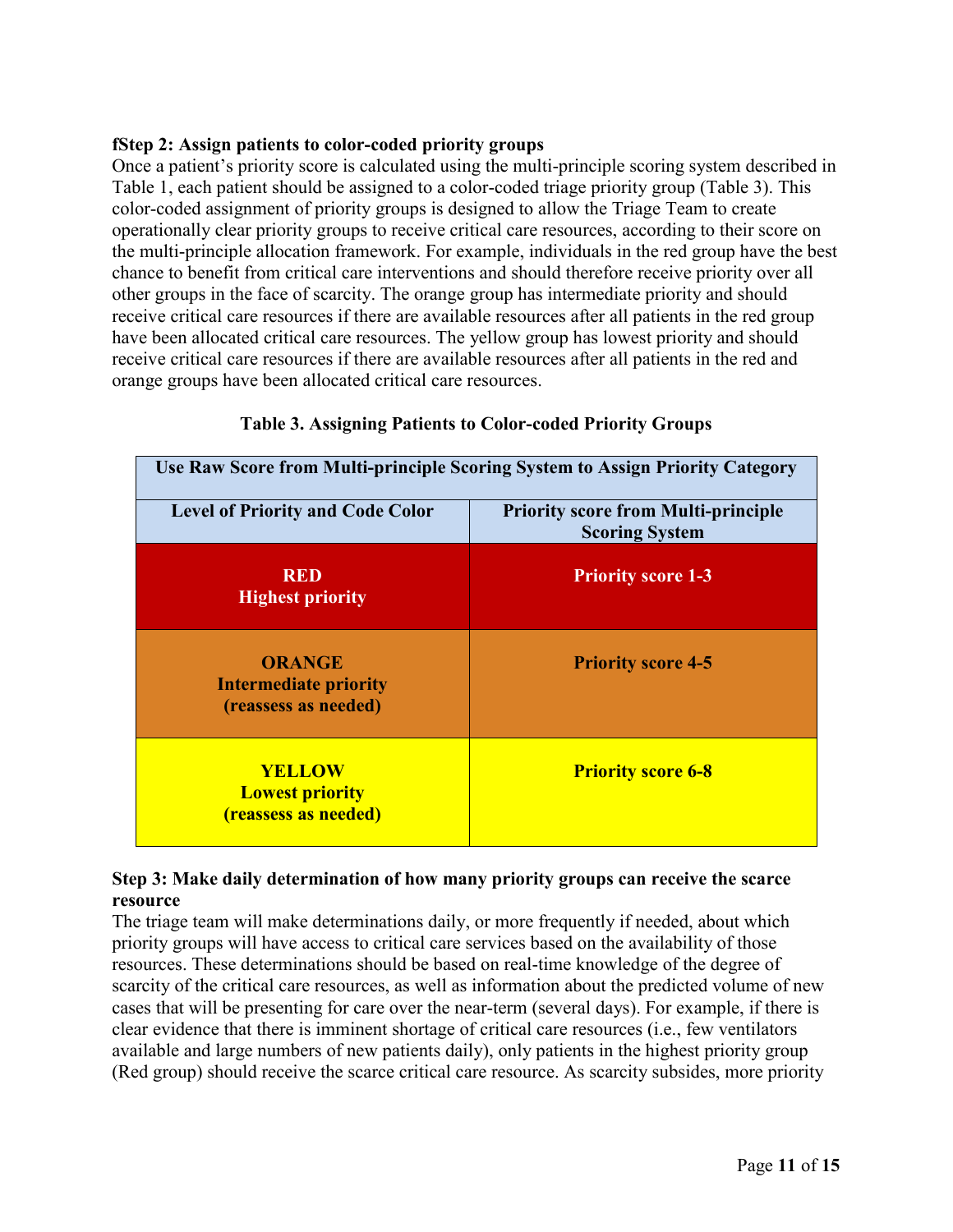#### **fStep 2: Assign patients to color-coded priority groups**

Once a patient's priority score is calculated using the multi-principle scoring system described in Table 1, each patient should be assigned to a color-coded triage priority group (Table 3). This color-coded assignment of priority groups is designed to allow the Triage Team to create operationally clear priority groups to receive critical care resources, according to their score on the multi-principle allocation framework. For example, individuals in the red group have the best chance to benefit from critical care interventions and should therefore receive priority over all other groups in the face of scarcity. The orange group has intermediate priority and should receive critical care resources if there are available resources after all patients in the red group have been allocated critical care resources. The yellow group has lowest priority and should receive critical care resources if there are available resources after all patients in the red and orange groups have been allocated critical care resources.

| Use Raw Score from Multi-principle Scoring System to Assign Priority Category |                                                                     |  |  |
|-------------------------------------------------------------------------------|---------------------------------------------------------------------|--|--|
| <b>Level of Priority and Code Color</b>                                       | <b>Priority score from Multi-principle</b><br><b>Scoring System</b> |  |  |
| <b>RED</b><br><b>Highest priority</b>                                         | <b>Priority score 1-3</b>                                           |  |  |
| <b>ORANGE</b><br><b>Intermediate priority</b><br>(reassess as needed)         | <b>Priority score 4-5</b>                                           |  |  |
| <b>YELLOW</b><br><b>Lowest priority</b><br><i>(reassess as needed)</i>        | <b>Priority score 6-8</b>                                           |  |  |

## **Table 3. Assigning Patients to Color-coded Priority Groups**

#### **Step 3: Make daily determination of how many priority groups can receive the scarce resource**

The triage team will make determinations daily, or more frequently if needed, about which priority groups will have access to critical care services based on the availability of those resources. These determinations should be based on real-time knowledge of the degree of scarcity of the critical care resources, as well as information about the predicted volume of new cases that will be presenting for care over the near-term (several days). For example, if there is clear evidence that there is imminent shortage of critical care resources (i.e., few ventilators available and large numbers of new patients daily), only patients in the highest priority group (Red group) should receive the scarce critical care resource. As scarcity subsides, more priority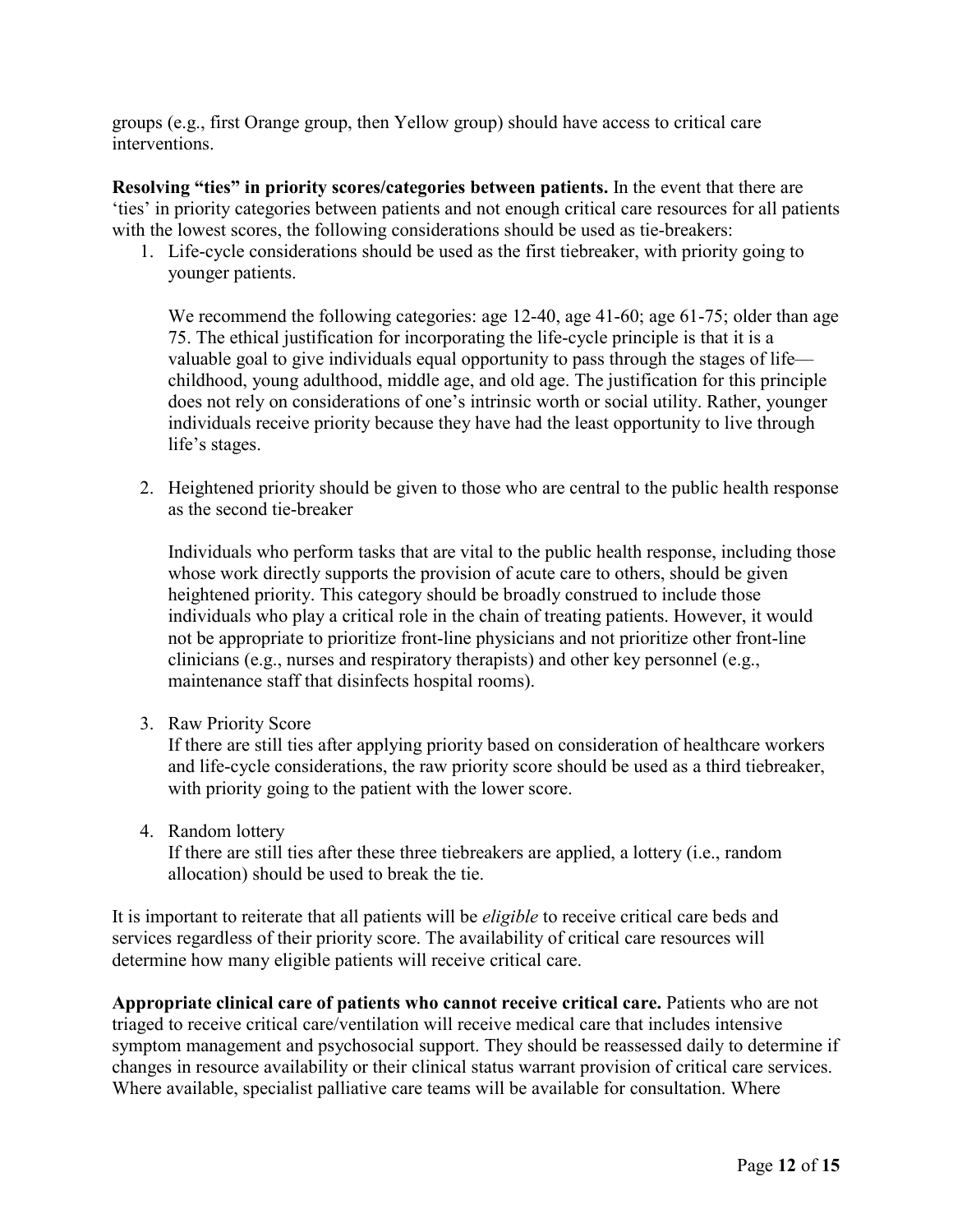groups (e.g., first Orange group, then Yellow group) should have access to critical care interventions.

**Resolving "ties" in priority scores/categories between patients.** In the event that there are 'ties' in priority categories between patients and not enough critical care resources for all patients with the lowest scores, the following considerations should be used as tie-breakers:

1. Life-cycle considerations should be used as the first tiebreaker, with priority going to younger patients.

We recommend the following categories: age 12-40, age 41-60; age 61-75; older than age 75. The ethical justification for incorporating the life-cycle principle is that it is a valuable goal to give individuals equal opportunity to pass through the stages of life childhood, young adulthood, middle age, and old age. The justification for this principle does not rely on considerations of one's intrinsic worth or social utility. Rather, younger individuals receive priority because they have had the least opportunity to live through life's stages.

2. Heightened priority should be given to those who are central to the public health response as the second tie-breaker

Individuals who perform tasks that are vital to the public health response, including those whose work directly supports the provision of acute care to others, should be given heightened priority. This category should be broadly construed to include those individuals who play a critical role in the chain of treating patients. However, it would not be appropriate to prioritize front-line physicians and not prioritize other front-line clinicians (e.g., nurses and respiratory therapists) and other key personnel (e.g., maintenance staff that disinfects hospital rooms).

3. Raw Priority Score

If there are still ties after applying priority based on consideration of healthcare workers and life-cycle considerations, the raw priority score should be used as a third tiebreaker, with priority going to the patient with the lower score.

4. Random lottery

If there are still ties after these three tiebreakers are applied, a lottery (i.e., random allocation) should be used to break the tie.

It is important to reiterate that all patients will be *eligible* to receive critical care beds and services regardless of their priority score. The availability of critical care resources will determine how many eligible patients will receive critical care.

**Appropriate clinical care of patients who cannot receive critical care.** Patients who are not triaged to receive critical care/ventilation will receive medical care that includes intensive symptom management and psychosocial support. They should be reassessed daily to determine if changes in resource availability or their clinical status warrant provision of critical care services. Where available, specialist palliative care teams will be available for consultation. Where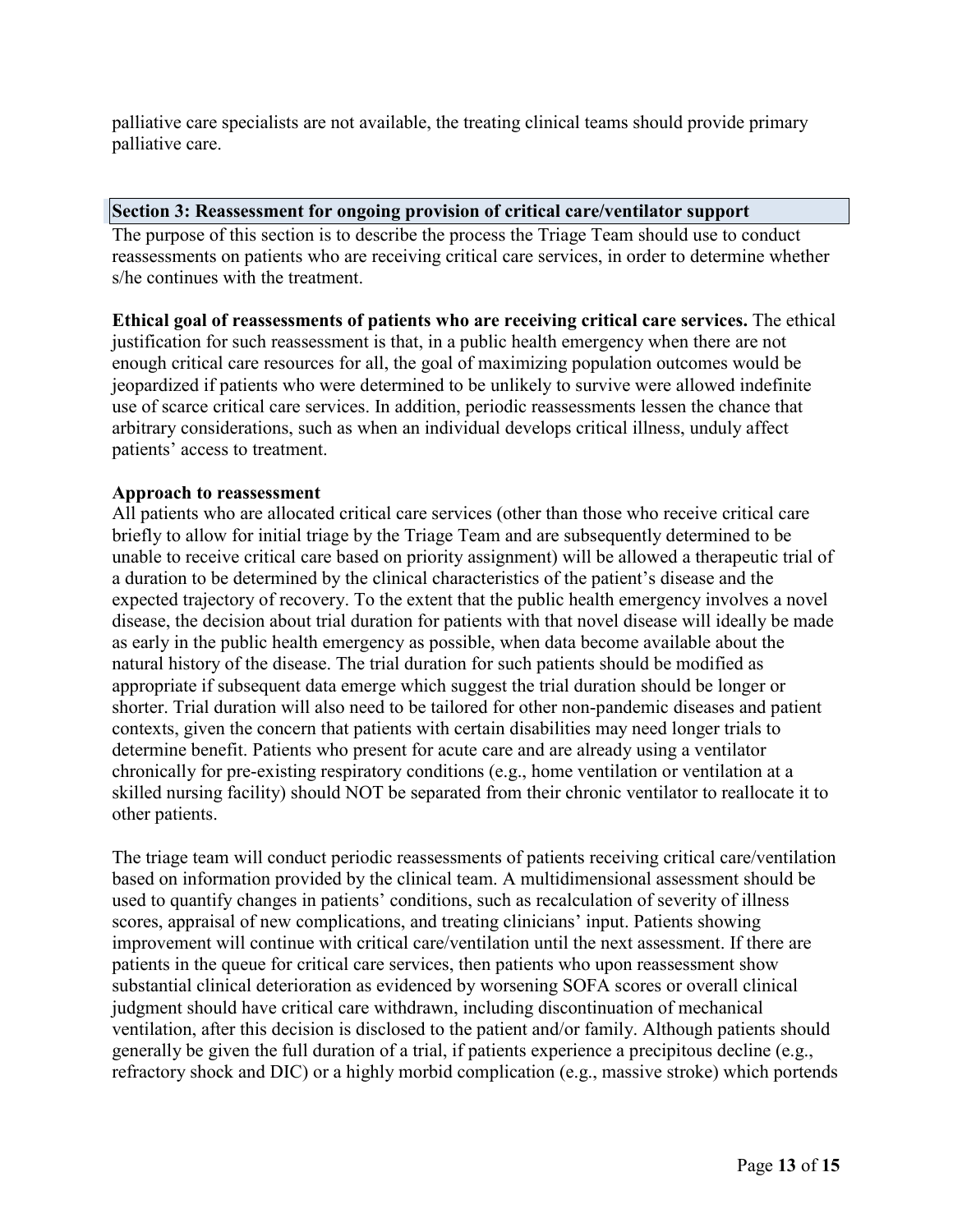palliative care specialists are not available, the treating clinical teams should provide primary palliative care.

#### **Section 3: Reassessment for ongoing provision of critical care/ventilator support**

The purpose of this section is to describe the process the Triage Team should use to conduct reassessments on patients who are receiving critical care services, in order to determine whether s/he continues with the treatment.

**Ethical goal of reassessments of patients who are receiving critical care services.** The ethical justification for such reassessment is that, in a public health emergency when there are not enough critical care resources for all, the goal of maximizing population outcomes would be jeopardized if patients who were determined to be unlikely to survive were allowed indefinite use of scarce critical care services. In addition, periodic reassessments lessen the chance that arbitrary considerations, such as when an individual develops critical illness, unduly affect patients' access to treatment.

#### **Approach to reassessment**

All patients who are allocated critical care services (other than those who receive critical care briefly to allow for initial triage by the Triage Team and are subsequently determined to be unable to receive critical care based on priority assignment) will be allowed a therapeutic trial of a duration to be determined by the clinical characteristics of the patient's disease and the expected trajectory of recovery. To the extent that the public health emergency involves a novel disease, the decision about trial duration for patients with that novel disease will ideally be made as early in the public health emergency as possible, when data become available about the natural history of the disease. The trial duration for such patients should be modified as appropriate if subsequent data emerge which suggest the trial duration should be longer or shorter. Trial duration will also need to be tailored for other non-pandemic diseases and patient contexts, given the concern that patients with certain disabilities may need longer trials to determine benefit. Patients who present for acute care and are already using a ventilator chronically for pre-existing respiratory conditions (e.g., home ventilation or ventilation at a skilled nursing facility) should NOT be separated from their chronic ventilator to reallocate it to other patients.

The triage team will conduct periodic reassessments of patients receiving critical care/ventilation based on information provided by the clinical team. A multidimensional assessment should be used to quantify changes in patients' conditions, such as recalculation of severity of illness scores, appraisal of new complications, and treating clinicians' input. Patients showing improvement will continue with critical care/ventilation until the next assessment. If there are patients in the queue for critical care services, then patients who upon reassessment show substantial clinical deterioration as evidenced by worsening SOFA scores or overall clinical judgment should have critical care withdrawn, including discontinuation of mechanical ventilation, after this decision is disclosed to the patient and/or family. Although patients should generally be given the full duration of a trial, if patients experience a precipitous decline (e.g., refractory shock and DIC) or a highly morbid complication (e.g., massive stroke) which portends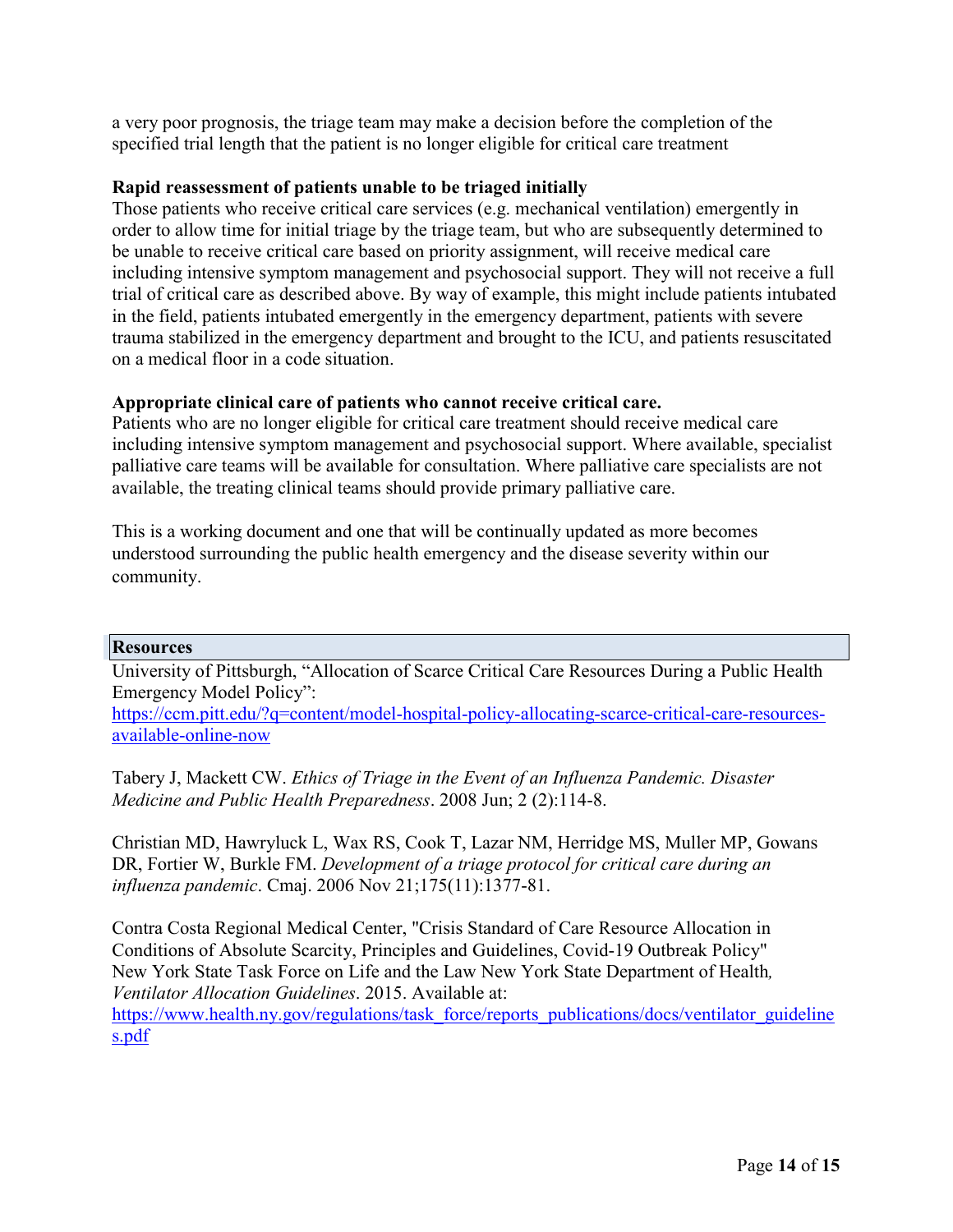a very poor prognosis, the triage team may make a decision before the completion of the specified trial length that the patient is no longer eligible for critical care treatment

#### **Rapid reassessment of patients unable to be triaged initially**

Those patients who receive critical care services (e.g. mechanical ventilation) emergently in order to allow time for initial triage by the triage team, but who are subsequently determined to be unable to receive critical care based on priority assignment, will receive medical care including intensive symptom management and psychosocial support. They will not receive a full trial of critical care as described above. By way of example, this might include patients intubated in the field, patients intubated emergently in the emergency department, patients with severe trauma stabilized in the emergency department and brought to the ICU, and patients resuscitated on a medical floor in a code situation.

## **Appropriate clinical care of patients who cannot receive critical care.**

Patients who are no longer eligible for critical care treatment should receive medical care including intensive symptom management and psychosocial support. Where available, specialist palliative care teams will be available for consultation. Where palliative care specialists are not available, the treating clinical teams should provide primary palliative care.

This is a working document and one that will be continually updated as more becomes understood surrounding the public health emergency and the disease severity within our community.

#### **Resources**

University of Pittsburgh, "Allocation of Scarce Critical Care Resources During a Public Health Emergency Model Policy":

[https://ccm.pitt.edu/?q=content/model-hospital-policy-allocating-scarce-critical-care-resources](https://ccm.pitt.edu/?q=content/model-hospital-policy-allocating-scarce-critical-care-resources-available-online-now)[available-online-now](https://ccm.pitt.edu/?q=content/model-hospital-policy-allocating-scarce-critical-care-resources-available-online-now)

Tabery J, Mackett CW. *Ethics of Triage in the Event of an Influenza Pandemic. Disaster Medicine and Public Health Preparedness*. 2008 Jun; 2 (2):114-8.

Christian MD, Hawryluck L, Wax RS, Cook T, Lazar NM, Herridge MS, Muller MP, Gowans DR, Fortier W, Burkle FM. *Development of a triage protocol for critical care during an influenza pandemic*. Cmaj. 2006 Nov 21;175(11):1377-81.

Contra Costa Regional Medical Center, "Crisis Standard of Care Resource Allocation in Conditions of Absolute Scarcity, Principles and Guidelines, Covid-19 Outbreak Policy" New York State Task Force on Life and the Law New York State Department of Health*, Ventilator Allocation Guidelines*. 2015. Available at:

[https://www.health.ny.gov/regulations/task\\_force/reports\\_publications/docs/ventilator\\_guideline](https://www.health.ny.gov/regulations/task_force/reports_publications/docs/ventilator_guidelines.pdf) [s.pdf](https://www.health.ny.gov/regulations/task_force/reports_publications/docs/ventilator_guidelines.pdf)